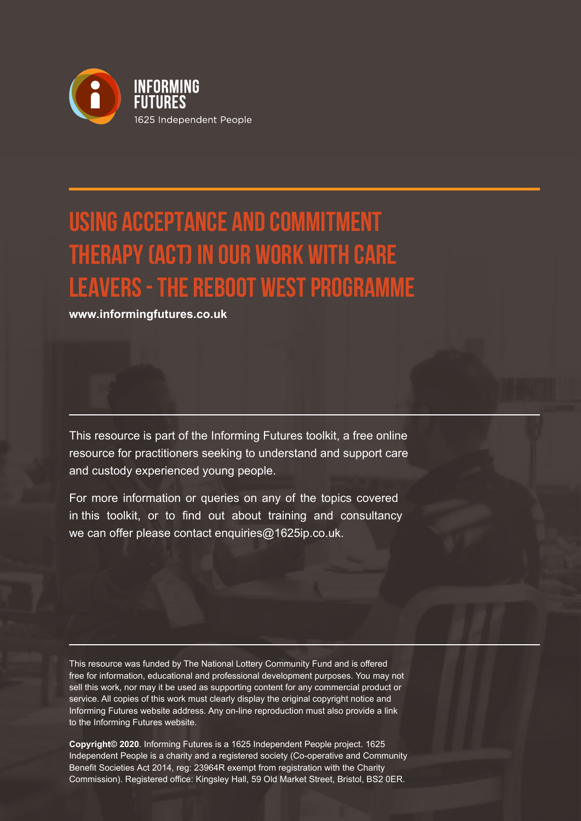

# **Using Acceptance and Commitment Therapy (ACT) in our work with care leavers - the Reboot West programme**

**www.informingfutures.co.uk**

This resource is part of the Informing Futures toolkit, a free online resource for practitioners seeking to understand and support care and custody experienced young people.

For more information or queries on any of the topics covered in this toolkit, or to find out about training and consultancy we can offer please contact enquiries@1625ip.co.uk.

This resource was funded by The National Lottery Community Fund and is offered free for information, educational and professional development purposes. You may not sell this work, nor may it be used as supporting content for any commercial product or service. All copies of this work must clearly display the original copyright notice and Informing Futures website address. Any on-line reproduction must also provide a link to the Informing Futures website.

**Copyright© 2020**. Informing Futures is a 1625 Independent People project. 1625 Independent People is a charity and a registered society (Co-operative and Community Benefit Societies Act 2014, reg: 23964R exempt from registration with the Charity Commission). Registered office: Kingsley Hall, 59 Old Market Street, Bristol, BS2 0ER.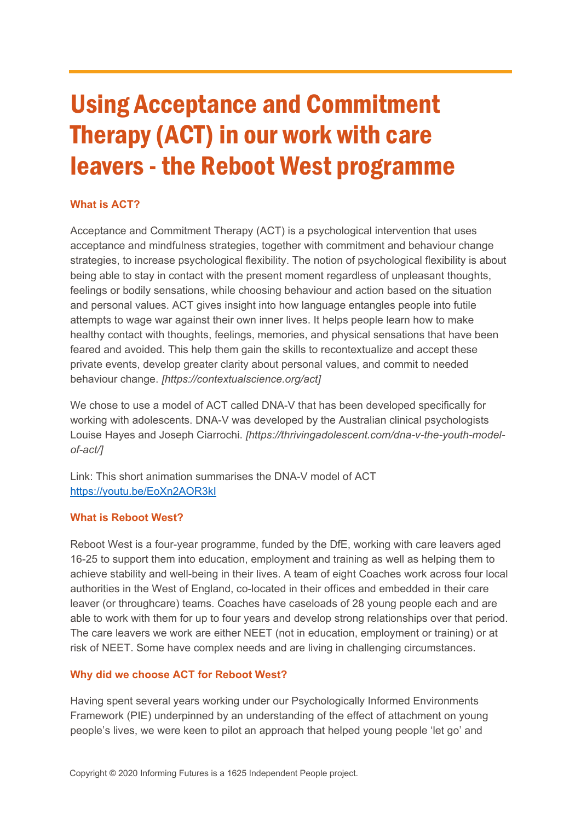# Using Acceptance and Commitment Therapy (ACT) in our work with care leavers - the Reboot West programme

# **What is ACT?**

Acceptance and Commitment Therapy (ACT) is a psychological intervention that uses acceptance and mindfulness strategies, together with commitment and behaviour change strategies, to increase psychological flexibility. The notion of psychological flexibility is about being able to stay in contact with the present moment regardless of unpleasant thoughts, feelings or bodily sensations, while choosing behaviour and action based on the situation and personal values. ACT gives insight into how language entangles people into futile attempts to wage war against their own inner lives. It helps people learn how to make healthy contact with thoughts, feelings, memories, and physical sensations that have been feared and avoided. This help them gain the skills to recontextualize and accept these private events, develop greater clarity about personal values, and commit to needed behaviour change. *[https://contextualscience.org/act]*

We chose to use a model of ACT called DNA-V that has been developed specifically for working with adolescents. DNA-V was developed by the Australian clinical psychologists Louise Hayes and Joseph Ciarrochi. *[https://thrivingadolescent.com/dna-v-the-youth-modelof-act/]*

Link: This short animation summarises the DNA-V model of ACT <https://youtu.be/EoXn2AOR3kI>

## **What is Reboot West?**

Reboot West is a four-year programme, funded by the DfE, working with care leavers aged 16-25 to support them into education, employment and training as well as helping them to achieve stability and well-being in their lives. A team of eight Coaches work across four local authorities in the West of England, co-located in their offices and embedded in their care leaver (or throughcare) teams. Coaches have caseloads of 28 young people each and are able to work with them for up to four years and develop strong relationships over that period. The care leavers we work are either NEET (not in education, employment or training) or at risk of NEET. Some have complex needs and are living in challenging circumstances.

## **Why did we choose ACT for Reboot West?**

Having spent several years working under our Psychologically Informed Environments Framework (PIE) underpinned by an understanding of the effect of attachment on young people's lives, we were keen to pilot an approach that helped young people 'let go' and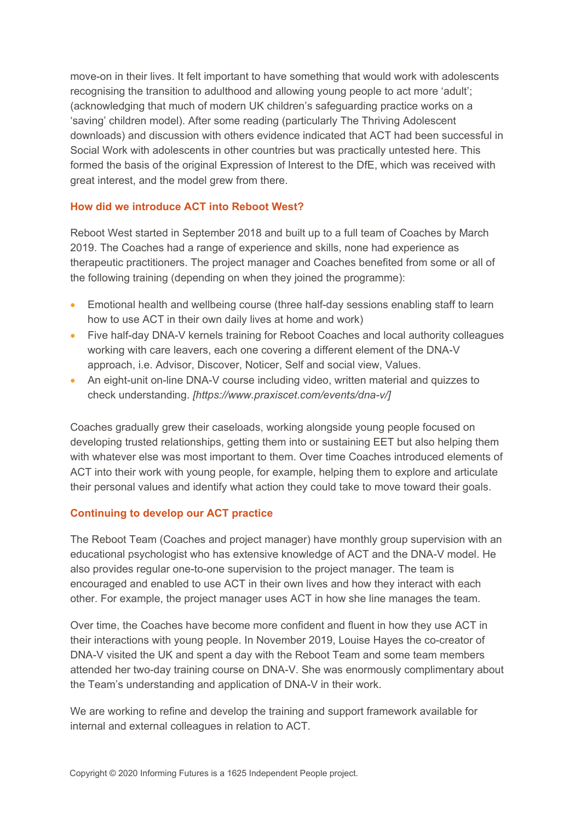move-on in their lives. It felt important to have something that would work with adolescents recognising the transition to adulthood and allowing young people to act more 'adult'; (acknowledging that much of modern UK children's safeguarding practice works on a 'saving' children model). After some reading (particularly The Thriving Adolescent downloads) and discussion with others evidence indicated that ACT had been successful in Social Work with adolescents in other countries but was practically untested here. This formed the basis of the original Expression of Interest to the DfE, which was received with great interest, and the model grew from there.

# **How did we introduce ACT into Reboot West?**

Reboot West started in September 2018 and built up to a full team of Coaches by March 2019. The Coaches had a range of experience and skills, none had experience as therapeutic practitioners. The project manager and Coaches benefited from some or all of the following training (depending on when they joined the programme):

- Emotional health and wellbeing course (three half-day sessions enabling staff to learn how to use ACT in their own daily lives at home and work)
- Five half-day DNA-V kernels training for Reboot Coaches and local authority colleagues working with care leavers, each one covering a different element of the DNA-V approach, i.e. Advisor, Discover, Noticer, Self and social view, Values.
- An eight-unit on-line DNA-V course including video, written material and quizzes to check understanding. *[https://www.praxiscet.com/events/dna-v/]*

Coaches gradually grew their caseloads, working alongside young people focused on developing trusted relationships, getting them into or sustaining EET but also helping them with whatever else was most important to them. Over time Coaches introduced elements of ACT into their work with young people, for example, helping them to explore and articulate their personal values and identify what action they could take to move toward their goals.

# **Continuing to develop our ACT practice**

The Reboot Team (Coaches and project manager) have monthly group supervision with an educational psychologist who has extensive knowledge of ACT and the DNA-V model. He also provides regular one-to-one supervision to the project manager. The team is encouraged and enabled to use ACT in their own lives and how they interact with each other. For example, the project manager uses ACT in how she line manages the team.

Over time, the Coaches have become more confident and fluent in how they use ACT in their interactions with young people. In November 2019, Louise Hayes the co-creator of DNA-V visited the UK and spent a day with the Reboot Team and some team members attended her two-day training course on DNA-V. She was enormously complimentary about the Team's understanding and application of DNA-V in their work.

We are working to refine and develop the training and support framework available for internal and external colleagues in relation to ACT.